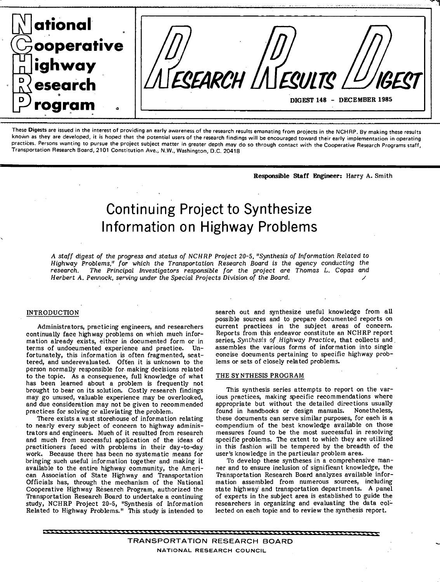

These Digests are issued in the interest of providing an early awareness of the research results emanating from projects in the NCHRP. By making these results known as they are developed, it is hoped that the potential users of the research findings will be encouraged toward their early implementation in operating practices. Persons wanting to pursue the project subject matter in greater depth may do so through contact with the Cooperative Research Programs staff, Transportation Research Board, 2101 Constitution Ave. NW., Washington, D.C. 20418

Responsible Staff **Engineer:** Harry A. Smith

# Continuing Project to Synthesize Information on Highway Problems

A staff digest of the progress and status of NCHRP Project 20-5. "Synthesis of Information Related to Highway Problems," for which the Transportation Research Board is the agency conducting the research. The Principal Investigators responsible for the project are Thomas L. Copas and Herbert A. Pennock, serving under the Special Projects Division of the Board.

## INTRODUCTION

Administrators, practicing engineers, and researchers continually face highway problems on which much information already exists, either in documented form or in terms of undocumented experience and practice. Unterms of undocumented experience and practice. fortunately, this information is often fragmented, scattered, and underevaluated. Often it is unknown to the person normally responsible for. making decisions related to the topic. As a consequence, full knowledge of what has been learned about a problem is frequently not brought to bear on its solution. Costly research findings may go unused, valuable experience may be overlooked, and due consideration may not be given to recommended practices for solving or alleviating the problem.

There exists a vast storehouse of information relating to nearly every subject of concern to highway administrators and engineers. Much of it resulted from research and much from successful application of the ideas of practitioners faced with problems in their day-to-day work.. Because there has been no systematic means for bringing such useful information together and making it available to the entire highway community, the American Association of State Highway and Transportation Officials has, through the mechanism of the National Cooperative Highway Research Program, authorized the Transportation Research Board to undertake a continuing study, NCHRP Project 20-5, "Synthesis of Information Related to Highway Problems." This study is intended to

search out and synthesize useful knowledge from all possible sources and to prepare documented reports on current practices in the subject areas of concern. Reports from this endeavor constitute an NCHRP report series, Synthesis of Highway Practice, that collects and assembles the various forms of information into single concise documents pertaining to specific highway problems or sets of closely related problems.

# THE SYNTHESIS PROGRAM

This synthesis series attempts to report on the various practices, making specific recommendations where appropriate but without the detailed directions usually found in handbooks or design manuals. Nonetheless, these documents can serve similar purposes, for each is a compendium of the best knowledge available on those measures found to be the most successful in resolving specific problems. The extent to which they are utilized in this fashion will be tempered by the breadth of the user's knowledge in the particular problem area.

To develop these syntheses in a comprehensive manner and to ensure inclusion of significant knowledge, the Transportation Research Board analyzes available information assembled from numerous sources, including state highway and transportation departments. A panel of experts in the subject area is established to guide the researchers in organizing and evaluating the data collected on each topic and to review the synthesis report.

**TRANSPORTATION RESEARCH BOARD NATIONAL RESEARCH COUNCIL**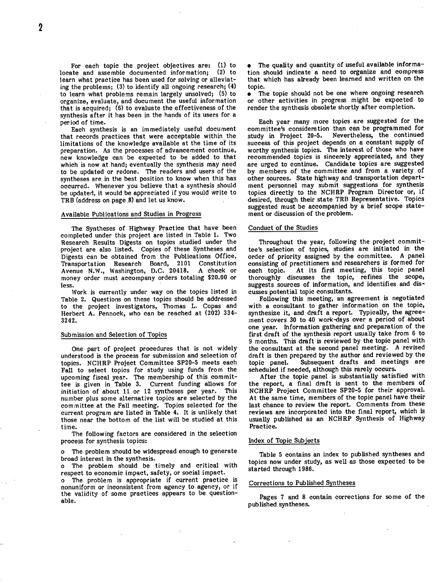For each topic the project objectives are: (1) to<br>ate and assemble documented information: (2) to locate and assemble documented information; learn what practice has been used for solving or alleviating the problems; (3) to identify all ongoing research; (4) to learn what problems remain largely unsolved; (5) to organize, evaluate, and document the useful information that is acquired; (6) to evaluate the effectiveness of the synthesis after it has been in the hands of its users for a period of time.

Each synthesis is an immediately useful document that records practices that were acceptable within the limitations of the knowledge available at the time of its preparation. As the processes of advancement continue, new knowledge can be expected to be added to that which is now at hand; eventually the synthesis may need to be updated or redone. The readers and users of the syntheses are in the best position to know when this has occurred. Whenever you believe that a synthesis should be updated, it would be appreciated if you would write to TRB (address on page 8) and let us know.

#### Available Publications and Studies in Progress

The Syntheses of Highway Practice that have been completed under this project are listed in Table 1. Two Research Results Digests on topics studied under the project are also listed. Copies of these Syntheses and Digests can be obtained from the Publications Office, Transportation Research Board, 2101 Constitution Avenue N.W., Washington, D.C. 20418. money order must accompany orders totaling \$20.00 or less.

Work is currently under way on the topics listed in Table 2. Questions on these topics should be addressed to the project investigators, Thomas L. Copas and Herbert A. Pennock, who can be reached at (202) 334- 3242.

#### Submission and Selection of Topics

One part of project procedures that is not widely understood is the process for submission and selection of topics. NCHRP Project Committee SP20-5 meets each Fall to select topics for study using funds from the upcoming fiscal year. The membership of this commit-<br>tee is given in Table 3. Current funding allows for Current funding allows for initiation of about 11 or 12 syntheses per year. This number plus some alternative topics are selected by the committee at the Fall meeting. Topics selected for the current program are listed in Table 4. It is unlikely that those near the bottom of the list will be studied at this time.

The following factors are considered in the selection process for synthesis topics:

The problem should be widespread enough to generate broad interest in the synthesis.

The problem should be timely and critical with  $\Omega$ respect to economic impact, safety, or social impact.

The problem is appropriate if current practice is nonuniform or inconsistent from agency to agency, or if the validity of some practices appears to be questionable.

The quality and quantity of useful available information should indicate a need to organize and compress that which has already been learned and written on the topic.

The topic should not be one where ongoing research  $\bullet$ or other activities in progress might be expected to render the synthesis obsolete shortly after completion.

Each year many more topics are suggested for the committee's consideration than can be programmed for<br>study in Project 20-5. Nevertheless, the continued Nevertheless, the continued success of this project depends on a constant supply of worthy synthesis topics. The interest of those who have recommended topics is sincerely appreciated, and they are urged to continue. Candidate topics are suggested by members of the committee and from a variety of other sources. State highway and transportation department personnel may submit suggestions for synthesis topics directly to the NCHRP Program Director or, if desired, through their state TRB Representative. Topics suggested must be accompanied by a brief scope statement or discussion of the problem.

#### Conduct of the Studies

Throughout the year, following the project committee's selection of topics, studies are initiated in the order of priority assigned by the committee. A panel consisting of practitioners and researchers is formed for each topic. At its first meeting, this topic panel thoroughly discusses the topic, refines the scope, suggests sources of information, and identifies and discusses potential topic consultants.

Following this meeting, an agreement is negotiated with a consultant to gather information on the topic, synthesize it, and draft a report. Typically, the agreement covers 30 to 40 work-days over a period of about one year. Information gathering and preparation of the first draft of the synthesis report usually take from 6 to 9 months. This draft is reviewed by the topic panel with the consultant at the second panel meeting. A revised draft is then prepared by the author and reviewed by the topic panel. Subsequent drafts and meetings are scheduled if needed, although this rarely occurs.

After the topic panel is substantially satisfied with the report, a final draft is sent to the members of NCHRP Project Committee SP20-5 for their approval. At the same time, members of the topic panel have their last chance to review the report. Comments from these reviews are incorporated into the final report, which is usually published as an NCHRP Synthesis of Highway Practice.

#### Index of Topic Subjects

Table 5 contains an index to published syntheses and topics now under study, as well as those expected to be started through 1986.

#### Corrections to Published Syntheses

Pages 7 and 8 contain corrections for some of the published syntheses.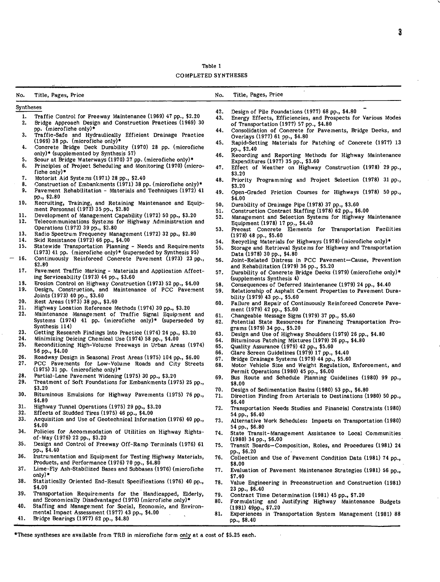Table 1 Co MPLETED SYNTHESES

| No.       | Title, Pages, Price                                                                                                          | No. | Title, Pages, Price                                                                                      |
|-----------|------------------------------------------------------------------------------------------------------------------------------|-----|----------------------------------------------------------------------------------------------------------|
| Syntheses |                                                                                                                              |     |                                                                                                          |
|           |                                                                                                                              | 42. | Design of Pile Foundations (1977) 68 pp., \$4.80                                                         |
| 1.<br>2.  | Traffic Control for Freeway Maintenance (1969) 47 pp., \$2.20<br>Bridge Approach Design and Construction Practices (1969) 30 | 43. | Energy Effects, Efficiencies, and Prospects for Various Modes<br>of Transportation (1977) 57 pp., \$4.80 |
| з.        | pp. (microfiche only)*<br>Traffic-Safe and Hydraulically Efficient Drainage Practice                                         | 44. | Consolidation of Concrete for Pavements, Bridge Decks, and<br>Overlays (1977) 61 pp., \$4.80             |
| 4.        | $(1969)$ 38 pp. (microfiche only)*<br>Concrete Bridge Deck Durability (1970) 28 pp. (microfiche                              | 45. | Rapid-Setting Materials for Patching of Concrete (1977) 13<br>pp., \$2.40                                |
| 5.        | only)* (supplemented by Synthesis 57)<br>Scour at Bridge Waterways (1970) 37 pp. (microfiche only)*                          | 46. | Recording and Reporting Methods for Highway Maintenance                                                  |
| 6.        | Principles of Project Scheduling and Monitoring (1970) (micro-<br>fiche only) $*$                                            | 47. | Expenditures (1977) 35 pp., \$3.60<br>Effect of Weather on Highway Construction (1978) 29 pp.,           |
| 7.<br>8.  | Motorist Aid Systems (1971) 28 pp., \$2.40                                                                                   | 48. | \$3.20<br>Priority Programming and Project Selection (1978) 31 pp.,                                      |
| 9.        | Construction of Embankments (1971) 38 pp. (microfiche only)*<br>Pavement Rehabilitation - Materials and Techniques (1972) 41 | 49. | \$3.20<br>Open-Graded Friction Courses for Highways (1978) 50 pp.,                                       |
| 10.       | pp., \$2.80<br>Recruiting, Training, and Retaining Maintenance and Equip-                                                    | 50. | \$4.00<br>Durability of Drainage Pipe (1978) 37 pp., \$3.60                                              |
|           | ment Personnel (1972) 35 pp., \$2.80                                                                                         | 51. | Construction Contract Staffing (1978) 62 pp., \$6.00                                                     |
| 11.       | Development of Management Capability (1972) 50 pp., \$3.20                                                                   | 52. | Management and Selection Systems for Highway Maintenance                                                 |
| 12.       | Telecommunications Systems for Highway Administration and                                                                    |     | Equipment (1978) 17 pp., \$4.40                                                                          |
| 13.       | Operations (1972) 39 pp., \$2.80<br>Radio Spectrum Frequency Management (1972) 32 pp., \$2.80                                | 53. | Precast Concrete Elements for Transportation Facilities<br>$(1978)$ 48 pp., \$5.60                       |
| 14.       | Skid Resistance (1972) 66 pp., \$4.00                                                                                        | 54. | Recycling Materials for Highways (1978) (microfiche only)*                                               |
| 15.       | Statewide Transportation Planning - Needs and Requirements                                                                   | 55. | Storage and Retrieval Systems for Highway and Transportation                                             |
|           | $(1973)$ 41 pp. (microfiche only)* (superseded by Synthesis 95)                                                              |     | Data (1978) 30 pp., \$4.80                                                                               |
| 16.       | Continuously Reinforced Concrete Pavement (1973) 23 pp.,<br>\$2.80                                                           | 56. | Joint-Related Distress in PCC Pavement-Cause, Prevention<br>and Rehabilitation (1979) 36 pp., \$5.20     |
| 17.       | Pavement Traffic Marking - Materials and Application Affect-<br>ing Serviceability (1973) 44 pp., \$3.60                     | 57. | Durability of Concrete Bridge Decks (1979) (microfiche only)*<br>(supplements Synthesis 4)               |
| 18.       | Erosion Control on Highway Construction (1973) 52 pp., \$4.00                                                                | 58. | Consequences of Deferred Maintenance (1979) 24 pp., \$4.40                                               |
| 19.       | Design, Construction, and Maintenance of PCC Pavement                                                                        | 59. | Relationship of Asphalt Cement Properties to Pavement Dura-                                              |
| 20.       | Joints (1973) 40 pp., \$3.60<br>Rest Areas (1973) 38 pp., \$3.60                                                             | 60. | bility (1979) 43 pp., \$5.60<br>Failure and Repair of Continuously Reinforced Concrete Pave-             |
| 21.       | Highway Location Reference Methods (1974) 30 pp., \$3.20                                                                     |     | ment (1979) 42 pp., \$5.60                                                                               |
| 22.       | Maintenance Management of Traffic Signal Equipment and                                                                       | 61. | Changeable Message Signs (1979) 37 pp., \$5.60                                                           |
|           | Systems $(1974)$ 41 pp. (microfiche only)* (superseded by<br>Synthesis 114)                                                  | 62. | Potential State Resources for Financing Transportation Pro-                                              |
| 23.       | Getting Research Findings Into Practice (1974) 24 pp., \$3.20                                                                | 63. | grams (1979) 34 pp., \$5.20<br>Design and Use of Highway Shoulders (1979) 26 pp., \$4.80                 |
| 24.       | Minimizing Deicing Chemical Use (1974) 58 pp., \$4.00                                                                        | 64. | Bituminous Patching Mixtures (1979) 26 pp., \$4.80                                                       |
| 25.       | Reconditioning High-Volume Freeways in Urban Areas (1974)                                                                    | 65. | Quality Assurance (1979) 42 pp., \$5.60                                                                  |
|           | 56 pp., \$4.00                                                                                                               | 66. | Glare Screen Guidelines (1979) 17 pp., \$4.40                                                            |
| 26.       | Roadway Design in Seasonal Frost Areas (1975) 104 pp., \$6.00                                                                | 67. | Bridge Drainage Systems (1979) 44 pp., \$5.60                                                            |
| 27.       | PCC Pavements for Low-Volume Roads and City Streets                                                                          | 68. | Motor Vehicle Size and Weight Regulation, Enforcement, and                                               |
| 28.       | $(1975)$ 31 pp. (microfiche only)*<br>Partial-Lane Pavement Widening (1975) 30 pp., \$3.20                                   |     | Permit Operations (1980) 45 pp., \$6.00                                                                  |
| 29.       | Treatment of Soft Foundations for Embankments (1975) 25 pp.,                                                                 | 69. | Bus Route and Schedule Planning Guidelines (1980) 99 pp.,<br>\$8.00                                      |
|           | \$3.20                                                                                                                       | 70. | Design of Sedimentation Basins (1980) 53 pp., \$6.80                                                     |
| 30.       | Bituminous Emulsions for Highway Pavements (1975) 76 pp.,<br>\$4.80                                                          | 71. | Direction Finding from Arterials to Destinations (1980) 50 pp.,<br>\$6.40                                |
| 31.       | Highway Tunnel Operations (1975) 29 pp., \$3.20                                                                              | 72. | Transportation Needs Studies and Financial Constraints (1980)                                            |
| 32.       | Effects of Studded Tires $(1975)$ 46 pp., \$4.00                                                                             |     | 54 pp., \$6.40                                                                                           |
| 33.       | Acquisition and Use of Geotechnical Information (1976) 40 pp.,<br>\$4.00                                                     | 73. | Alternative Work Schedules: Impacts on Transportation (1980)<br>54 pp., \$6.80                           |
| 34.       | Policies for Accommodation of Utilities on Highway Rights-<br>of-Way $(1976)$ 22 pp., \$3.20                                 | 74. | State Transit-Management Assistance to Local Communities<br>$(1980)$ 34 pp., \$6.00                      |
| 35.       | Design and Control of Freeway Off-Ramp Terminals (1976) 61<br>pp., \$4.40                                                    | 75. | Transit Boards-Composition, Roles, and Procedures (1981) 24                                              |
| 36.       | Instrumentation and Equipment for Testing Highway Materials,<br>Products, and Performance (1976) 70 pp., \$4.80              | 76. | pp., \$6.20<br>Collection and Use of Pavement Condition Data (1981) 74 pp.,                              |
| 37.       | Lime-Fly Ash-Stabilized Bases and Subbases (1976) (microfiche                                                                | 77. | \$8.00<br>Evaluation of Pavement Maintenance Strategies (1981) 56 pp.,                                   |
| 38.       | only)*<br>Statistically Oriented End-Result Specifications (1976) 40 pp.,                                                    | 78. | \$7,40<br>Value Engineering in Preconstruction and Construction (1981)                                   |
| 39.       | \$4.00<br>Transportation Requirements for the Handicapped, Elderly,                                                          | 79. | $23$ pp., $$6.40$<br>Contract Time Determination (1981) 45 pp., \$7.20                                   |
|           | and Economically Disadvantaged (1976) (microfiche only)*                                                                     | 80. | Formulating and Justifying Highway Maintenance Budgets                                                   |
| 40.       | Staffing and Management for Social, Economic, and Environ-<br>mental Impact Assessment (1977) 43 pp., \$4.00                 | 81. | $(1981)$ 49pp., \$7.20<br>Experiences in Transportation System Management (1981) 88                      |
| 41.       | Bridge Bearings (1977) 62 pp., \$4.80                                                                                        |     | pp., \$8.40                                                                                              |

 $\hat{\boldsymbol{\beta}}$ 

\*These syntheses are available from TRB in microfiche form only at a cost of \$5.25 each.

 $\mathbf{3}$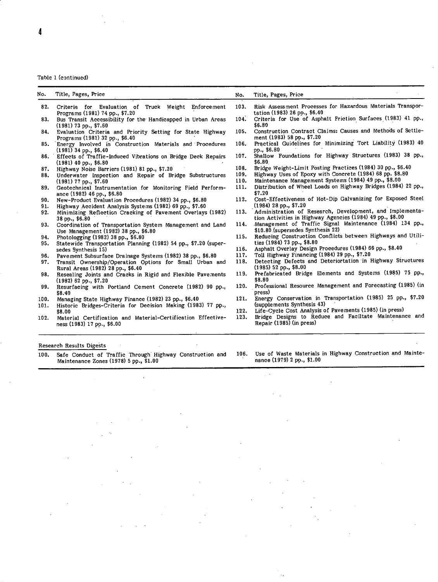### Table 1 (continued)

| No.  | Title, Pages, Price                                                                               | No.  | Title, Pages, Price                                                                                                   |
|------|---------------------------------------------------------------------------------------------------|------|-----------------------------------------------------------------------------------------------------------------------|
| 82.  | Criteria for Evaluation of Truck Weight Enforcement<br>Programs (1981) 74 pp., \$7.20             | 103. | Risk Assessment Processes for Hazardous Materials Transpor-<br>tation (1983) 26 pp., \$6.40                           |
| 83.  | Bus Transit Accessibility for the Handicapped in Urban Areas<br>$(1981)$ 73 pp., \$7.60           | 104. | Criteria for Use of Asphalt Friction Surfaces (1983) 41 pp.,<br>\$6.80                                                |
| 84.  | Evaluation Criteria and Priority Setting for State Highway<br>Programs (1981) 32 pp., \$6.40      | 105. | Construction Contract Claims: Causes and Methods of Settle-<br>ment (1983) 58 pp., \$7.20                             |
| 85.  | Energy Involved in Construction Materials and Procedures<br>$(1981)$ 34 pp., \$6.40               | 106. | Practical Guidelines for Minimizing Tort Liability (1983) 40<br>pp., \$6.80                                           |
|      | 86. Effects of Traffic-Induced Vibrations on Bridge Deck Repairs<br>$(1981)$ 40 pp., \$6.80       | 107. | Shallow Foundations for Highway Structures (1983) 38 pp.,<br>\$6.80                                                   |
| 87.  | Highway Noise Barriers (1981) 81 pp., \$7.20                                                      | 108. | Bridge Weight-Limit Posting Practices (1984) 30 pp., \$6.40                                                           |
| 88.  | Underwater Inspection and Repair of Bridge Substructures                                          | 109. | Highway Uses of Epoxy with Concrete (1984) 68 pp. \$8.80                                                              |
|      | $(1981)$ 77 pp., \$7.60                                                                           | 110. | Maintenance Management Systems (1984) 49 pp., \$8.00                                                                  |
| 89.  | Geotechnical Instrumentation for Monitoring Field Perform-<br>ance (1982) 46 pp., \$6.80          | 111. | Distribution of Wheel Loads on Highway Bridges (1984) 22 pp.,<br>\$7.20                                               |
| 90.  | New-Product Evaluation Procedures (1982) 34 pp., \$6.80                                           | 112. | Cost-Effectiveness of Hot-Dip Galvanizing for Exposed Steel                                                           |
| 91.  | Highway Accident Analysis Systems (1982) 69 pp., \$7.60                                           |      | $(1984)$ 28 pp., \$7.20                                                                                               |
| 92.  | Minimizing Reflection Cracking of Pavement Overlays (1982)<br>$38$ pp., $$6.80$                   | 113. | Administration of Research, Development, and Implementa-<br>tion Activities in Highway Agencies (1984) 49 pp., \$8.00 |
| 93.  | Coordination of Transportation System Management and Land<br>Use Management (1982) 38 pp., \$6.80 | 114. | Management of Traffic Signal Maintenance (1984) 134 pp.,<br>\$10.80 (supersedes Synthesis 22)                         |
| 94.  | Photologging (1982) 38 pp., \$6.80                                                                | 115. | Reducing Construction Conflicts between Highways and Utili-                                                           |
| 95.  | Statewide Transportation Planning (1982) 54 pp., \$7.20 (super-                                   |      | ties $(1984)$ 73 pp., \$8.80                                                                                          |
|      | sedes Synthesis 15)                                                                               | 116. | Asphalt Overlay Design Procedures (1984) 66 pp., \$8.40                                                               |
| 96.  | Pavement Subsurface Drainage Systems (1982) 38 pp., \$6.80                                        | 117. | Toll Highway Financing (1984) 29 pp., \$7.20                                                                          |
| 97.  | Transit Ownership/Operation Options for Small Urban and<br>Rural Areas (1982) 28 pp., \$6.40      | 118. | Detecting Defects and Deteriortation in Highway Structures<br>$(1985)$ 52 pp., \$8.00                                 |
| 98.  | Resealing Joints and Cracks in Rigid and Flexible Pavements<br>$(1982)$ 62 pp., \$7.20            | 119. | Prefabricated Bridge Elements and Systems (1985) 75 pp.,<br>\$8.80                                                    |
| 99.  | Resurfacing with Portland Cement Concrete (1982) 90 pp.,<br>\$8.40                                | 120. | Professional Resource Management and Forecasting (1985) (in<br>press)                                                 |
| 100. | Managing State Highway Finance (1982) 23 pp., \$6.40                                              | 121. | Energy Conservation in Transportation (1985) 25 pp., \$7.20                                                           |
| 101. | Historic Bridges-Criteria for Decision Making (1983) 77 pp.,                                      |      | (supplements Synthesis 43)                                                                                            |
|      | \$8.00                                                                                            | 122. | Life-Cycle Cost Analysis of Pavements (1985) (in press)                                                               |
| 102. | Material Certification and Material-Certification Effective-                                      | 123. | Bridge Designs to Reduce and Faciltate Maintenance and                                                                |

- ness (1983) 17 pp., \$6.00 Repair (1985) (in press)
- Research Results Digests

 $\ddot{\phantom{a}}$ 

100. Safe Conduct of Traffic Through Highway Construction and 106. Use of Waste Materials in Highway Construction and Mainte-Maintenance Zones (1978) 5 pp., \$1.00

 $\ddot{\phantom{a}}$ 

- 
- 
- 
- 
- 
- 
- 
- 
- 
- 

 $\bar{a}$ 

 $\bar{\lambda}$  ,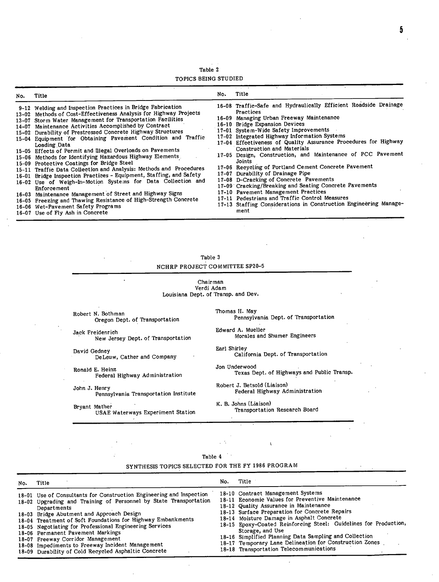Table 2 TOPICS BEING STUDIED

| No. | Title                                                                                                                                                                                                                                                                                                                                                                                                                                                                                                                                                                                                                                                                                                                                                                                                                                                                                                                                                                                                               | No. | <b>All Stores</b><br>Title                                                                                                                                                                                                                                                                                                                                                                                                                                                                                                                                                                                                                                                                                                                                                                            |
|-----|---------------------------------------------------------------------------------------------------------------------------------------------------------------------------------------------------------------------------------------------------------------------------------------------------------------------------------------------------------------------------------------------------------------------------------------------------------------------------------------------------------------------------------------------------------------------------------------------------------------------------------------------------------------------------------------------------------------------------------------------------------------------------------------------------------------------------------------------------------------------------------------------------------------------------------------------------------------------------------------------------------------------|-----|-------------------------------------------------------------------------------------------------------------------------------------------------------------------------------------------------------------------------------------------------------------------------------------------------------------------------------------------------------------------------------------------------------------------------------------------------------------------------------------------------------------------------------------------------------------------------------------------------------------------------------------------------------------------------------------------------------------------------------------------------------------------------------------------------------|
|     | 9-12 Welding and Inspection Practices in Bridge Fabrication<br>13-02 Methods of Cost-Effectiveness Analysis for Highway Projects<br>13-07 Storm Water Management for Transportation Facilities<br>14-07 Maintenance Activities Accomplished by Contract<br>15-02 Durability of Prestressed Concrete Highway Structures<br>15-04 Equipment for Obtaining Pavement Condition and Traffic<br>Loading Data<br>15-05 Effects of Permit and Illegal Overloads on Pavements<br>15-06 Methods for Identifying Hazardous Highway Elements<br>15-09 Protective Coatings for Bridge Steel<br>15-11 Traffic Data Collection and Analysis: Methods and Procedures<br>16-01 Bridge Inspection Practices - Equipment, Staffing, and Safety<br>16-02 Use of Weigh-In-Motion Systems for Data Collection and<br>Enforcement<br>16-03 Maintenance Management of Street and Highway Signs<br>16-05 Freezing and Thawing Resistance of High-Strength Concrete<br>16-06 Wet-Pavement Safety Programs<br>16-07 Use of Fly Ash in Concrete |     | 16-08 Traffic-Safe and Hydraulically Efficient Roadside Drainage<br>Practices<br>16-09 Managing Urban Freeway Maintenance<br>16-10 Bridge Expansion Devices<br>17-01 System-Wide Safety Improvements<br>17-02 Integrated Highway Information Systems<br>17-04 Effectiveness of Quality Assurance Procedures for Highway<br>Construction and Materials<br>17-05 Design, Construction, and Maintenance of PCC Pavement<br>Joints<br>17-06 Recycling of Portland Cement Concrete Pavement<br>17-07 Durability of Drainage Pipe<br>17-08 D-Cracking of Concrete Pavements<br>17-09 Cracking/Breaking and Seating Concrete Pavements<br>17-10 Pavement Management Practices<br>17-11 Pedestrians and Traffic Control Measures<br>17-13 Staffing Considerations in Construction Engineering Manage-<br>ment |

| Table 3 |                                |  |  |  |
|---------|--------------------------------|--|--|--|
|         | NCHRP PROJECT COMMITTEE SP20-5 |  |  |  |

Chairman Verdi Adam Louisiana Dept. of Transp. and Dev.

Robert N. Bothman Oregon Dept. of Transportation

Jack Freidenrich New Jersey Dept. of Transportation

David Gedney DeLeuw, Cather and Company

Ronald E. Heinz Federal Highway Administration

John J. Henry Pennsylvania Transportation Institute

Bryant Mather USAE Waterways Experiment Station

Thomas H. May Pennsylvania Dept. of Transportation

Edward A. Mueller Morales and Shumer Engineers

Earl Shirley California Dept. of Transportation

Jon Underwood Texas Dept. of Highways and Public Transp.

Robert J. Betsold (Liaison) Federal Highway Administration

K. B. Johns (Liaison) Transportation Research Board

 $\mathbf{r}$ 

 $\mathcal{L}$ 

#### Table 4 ÷.,

# SYNTHESIS TOPICS SELECTED FOR THE FY 1986 PROGRAM

| No. | Title                                                                                                                                                                                                                                                                                                                                                     | No. | Title                                                                                                                                                                                                                                                                                                                                               |
|-----|-----------------------------------------------------------------------------------------------------------------------------------------------------------------------------------------------------------------------------------------------------------------------------------------------------------------------------------------------------------|-----|-----------------------------------------------------------------------------------------------------------------------------------------------------------------------------------------------------------------------------------------------------------------------------------------------------------------------------------------------------|
|     | 18-01 Use of Consultants for Construction Engineering and Inspection<br>18-02 Upgrading and Training of Personnel by State Transportation<br>Departments                                                                                                                                                                                                  |     | 18-10 Contract Management Systems<br>18-11 Economic Values for Preventive Maintenance<br>18-12 Quality Assurance in Maintenance                                                                                                                                                                                                                     |
|     | 18-03 Bridge Abutment and Approach Design<br>18-04 Treatment of Soft Foundations for Highway Embankments<br>18-05 Negotiating for Professional Engineering Services<br>18-06 Permanent Pavement Markings<br>18-07 Freeway Corridor Management<br>18-08 Impediments to Freeway Incident Management<br>18-09 Durability of Cold Recycled Asphaltic Concrete |     | 18-13 Surface Preparation for Concrete Repairs<br>18-14 Moisture Damage in Asphalt Concrete<br>18-15 Epoxy-Coated Reinforcing Steel: Guidelines for Production,<br>Storage, and Use<br>18-16 Simplified Planning Data Sampling and Collection<br>18-17 Temporary Lane Delineation for Construction Zones<br>18-18 Transportation Telecommunications |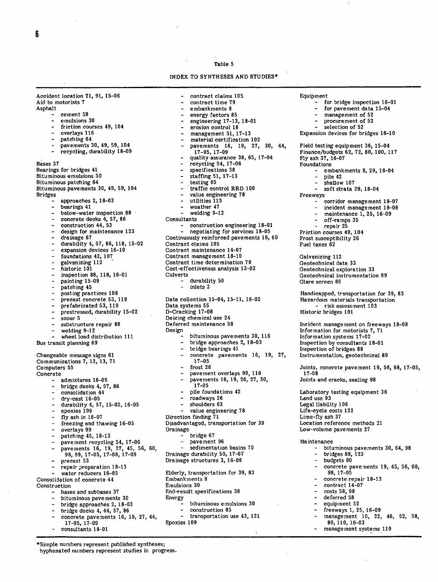#### Table 5

INDEX TO SYNTHESES AND STUDIES

Accident location 21, 91, 15-06 Aid to motorists 7 Asphalt cement 59 emulsions 30 friction courses 49, 104 overlays 116 patching 64 - pavements 30, 49, 59, 104 recycling, durability 18-09 Bases 37 Bearings for bridges 41 Bituminous emulsions 30 Bituminous patching 64 Bituminous pavements 30, 49, 59, 104 Bridges approaches 2, 18-03 bearings 41 below-water inspection 88 concrete decks 4, 57, 86 construction 44, 53 design for maintenance 123 drainage 67 durability 4, 57, 86, 118, 15-02 expansion devices 16-10 foundations 42, 107 galvanizing 112 historic 101 - inspection 88, 118, 16-01 - painting 15-09 patching 45 posting practices 108 precast concrete 53, 119 prefabricated 53, 119 prestressed, durability 15-02  $\frac{1}{2}$  scour 5 substructure repair 88 - welding 9-12 - wheel load distribution 111 Bus transit planning 69 Changeable message signs 61 Communications 7, 12, 13, 71 Computers 55 Concrete admixtures 16-05 bridge decks 4, 57, 86 consolidation 44 - dry-cast 16-05 durability 4, 57, 15-02, 16-05 epoxies 109 fly ash in 16-07 freezing and thawing 16-05 overlays 99 patching 45, 18-13 pavement recycling 54, 17-06 - pavements 16, 19, 27, 45, 56, 60, 98, 99, 17-05, 17-08, 17-09 - precast 53 repair preparation 18-13 water reducers 16-05 Consolidation of concrete 44 Construction bases and subbases 37 bituminous pavements 30 bridge approaches 2, 18-03 - bridge decks 4, 44; 57, 86 - concrete pavements 16, 19, 27, 44, 17-05, 17-09

- 
- consultants 18-01

\*Simple numbers represent published syntheses;

hyphenated numbers represent studies in progress.

contract claims 105 contract time 79 embankments 8 energy factors 85 engineering 17-13, 18-01 erosion control 18 management 51, 17-13 material certification 102 pavements 16, 19, 27, 30, 44, 17-05, 17-09 quality assurance 38, 65, 17-04 recycling 54, 17-06 specifications 38 staffing 51, 17-13 testing 65 traffic control RRD 100 - value engineering 78 - utilities 115 weather 47 welding 9-12 **Consultants** construction engineering 18-01 negotiating for services 18-05 Continuously reinforced pavements 16, 60 Contract claims 105 Contract maintenance 14-07 Contract management 18-10 Contract time determination 79 Cost-effectiveness analysis 13-02 Culverts durability 50 inlets 3 Data collection 15-04, 15-11, 16-02 Data systems 55 D-Cracking 17-08 Deicing chemical use 24 Deferred maintenance 58 Design bituminous pavements 30, 116 bridge approaches 2, 18-03 bridge bearings 41 concrete pavements 16, 19, 27, 17-05 frost 26 pavement overlays 99, 116 pavements 16, 19, 26, 27, 30, 17-05 pile foundations 42 roadways 26 shoulders 63 value engineering 78 Direction finding 71 Disadvantaged, transportation for 39 Drainage bridge 67 pavement 96 sedimentation basins 70 Drainage durability 50, 17-07 Drainage structures 3, 16-08 Elderly, transportation for 39, 83 Embankments 8 Emulsions 30 End-result specifications 38 Energy bituminous emulsions 30 construction 85 transportation use 43, 121 Epoxies 109

Equipment

- for bridge inspection 16-01
- for pavement data 15-04
	- management of 52
- procurement of 52
- selection of 52
- Expansion devices for bridges 16-10

44, Field testing equipment 36, 15-04 Finance/budgets 62, 72, 80, 100, 117 Fly ash 37, 16-07 Foundations

- embankments 8, 29, 18-04
- pile 42
- shallow 107
- soft strata 29, 18-04
- Freeways
	- corridor management 18-07
	- incident management 18-08
	- $m$ aintenance 1, 25, 16-09
	- off-ramps 35
	- repair 25

Friction courses 49, 104 Frost susceptibility 26 Fuel taxes 62

Galvanizing 112 Geotechnical data 33 Geotechnical exploration 33 Geotechnical instrumentation 89 Glare screen 66

Handicapped, transportation for 39, 83 Hazardous materials transportation - risk assessment 103 Historic bridges 101

Incident management on freeways 18-08 Information for motorists 7, 71 Information systems 17-02 Inspection by consultants 18-01 Inspection of bridges 88 Instrumentation, geotechnical 89

Joints, concrete pavement 19, 56, 98, 17-05, 17-08 Joints and cracks, sealing 98

Laboratory testing equipment 36 Land use 93 Legal liability 106 Life-cycle costs 122 Lime-fly ash 37 Location reference methods 21 Low-volume pavements 27

Maintenance

- bituminous pavements 30, 64, 98 bridges 88, 123
- 
- budgets 80
- concrete pavements 19, 45, 56, 60, 98, 17-05
- concrete repair 18-13
- contract 14-07
- costs 58, 98
- deferred 58
- - equipment 52
	- freeways 1, 25, 16-09
	- management 10, 22, 46, 52, 58, 80, 110, 16-03
	- management systems 110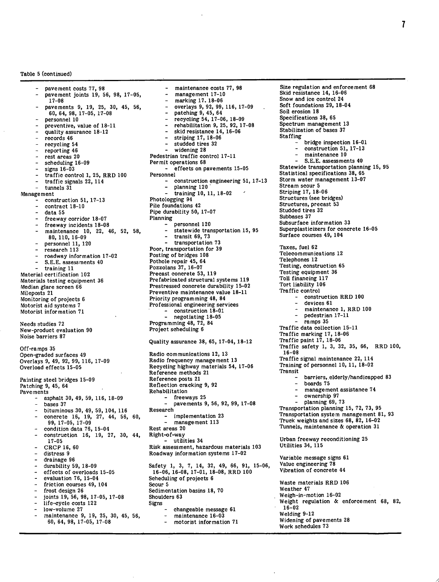Table 5 (continued)

pavement costs 77, 98 pavement joints 19, 56, 98, 17 17-08 pavements 9, 19, 25, 30, 45, 56, 60, 64, 98, 17-05, 17-08 personnel 10 preventive, value of 18-11 quality assurance 18-12 records 46 recycling 54 reporting 46 rest areas 20 scheduling 16-09  $signs$  16-03 traffic control 1, 25, RRD 100 - traffic signals  $22, 114$ <br>- tunnels  $31$ tunnels 31 Management construction 51, 17-13 contract 18-10 data 55 freeway corridor 18-07 freeway incidents 18-08 maintenance 10, 22, 46, 52, 58, 80, 110, 16-09 - personnel 11, 120 research 113 - roadway information 17-02 S.E.E. assessments 40 training 11 Material certification 102 Materials testing equipment 36 Median glare screen 66 Mileposts 21 Monitoring of projects 6 Motorist aid systems 7 Motorist information 71 Needs studies 72 New-product evaluation 90 Noise barriers 87 Off-ramps 35 Open-graded surfaces 49 Overlays 9, 49, 92, 99, 116, 17-09 Overload effects 15-05 Painting steel bridges 15-09 Patching 9, 45, 64 Pavements asphalt 30, 49, 59, 116, 18-09 bases 37 bituminous 30, 49, 59, 104, 116 concrete 16, 19, 27, 44, 56, 60, 99, 17-05, 17-09 condition data 76, 15-04 construction 16, 19, 27, 30, 44, 17-05 CRCP 16, 60 distress 9 drainage 96 durability 59, 18-09 effects of overloads 15-05 evaluation 76, 15-04 friction courses 49, 104 frost design 26 joints 19, 56, 98, 17-05, 17-08 life-cycle costs 122 low-volume 27 maintenance 9, 19, 25, 30, 45, 56, 60, 64, 98, 17-05, 17-08

management 17-10 marking 17. 18-06 overlays 9, 92, 99, 116, 17-09 - patching 9, 45, 64 - recycling 54, 17-06, 18-09 rehabilitation 9, 25, 92, 17-08 skid resistance 14, 16-06 striping 17, 18-06 studded tires 32 widening 28 Pedestrian traffic control 17-11 Permit operations 68 effects on pavements 15-05 Personnel construction engineering 51, 17-13 planning 120 training 10, 11, 18-02 Photologging 94 Pile foundations 42 Pipe durability 50, 17-07 Planning personnel 120 statewide transportation 15, 95 transit 69, 73 transportation 73 Poor, transportation for 39 Posting of bridges 108 Pothole repair 45, 64 Pozzolans 37, 16-07 Precast concrete 53, 119 Prefabricated structural systems 119 Prestressed concrete durability 15-02 Preventive maintenance value 18-11 Priority programming 48, 84 Professional engineering services - construction 18-01 - negotiating 18-05 Programming 48, 72, 84 Project scheduling 6 Quality assurance 38, 65, 17-04, 18-12 Radio communications 12, 13 Radio frequency management 13 Recycling highway materials 54, 17-06 Reference methods 21 Reference posts 21 Reflection cracking 9, 92 Rehabilitation - freeways 25 pavements 9, 56, 92, 99, 17-08 Research implementation 23 management 113 Rest areas 20 Right-of-way utilities 34 Risk assessment, hazardous materials 103 Roadway information systems 17-02 Safety 1, 3, 7, 14, 32, 49, 66, 91, 15-06, 16-06, 16-08, 17-01, 18-08, RRD 100 Scheduling of projects 6 Scour 5 Sedimentation basins 18, 70 Shoulders 63 Signs changeable message 61 maintenance 16-03 motorist information 71

maintenance costs 77, 98

Size regulation and enforcement 68 Skid resistance 14, 16-06 Snow and ice control 24 Soft foundations 29, 18-04 Soil erosion 18 Specifications 38, 65 Spectrum management 13 Stabilization of bases 37 Staffing bridge inspection 16-01 construction 51, 17-13 maintenance 10 S.E.E. assessments 40 Statewide transportation planning 15, 95 Statistical specifications 38, 65 Storm water management 13-07 Stream scour 5 Striping 17, 18-06 Structures (see bridges) Structures, precast 53 Studded tires 32 Subbases 37 Subsurface information 33 Superplasticizers for concrete 16-05 Surface courses 49, 104 Taxes, fuel 62 Telecommunications 12 Telephones 12 Testing, construction 65 Testing equipment 36 Toll financing 117 Tort liability 106 Traffic control construction RRD 100 devices 61 maintenance 1, RRD 100 pedestrian 17-11 ramps 35 Traffic data collection 15-11 Traffic marking 17, 18-06 Traffic paint 17, 18-06 Traffic safety 1, 3, 32, 35, 66, RRD 100, 16-08 Traffic signal maintenance 22, 114 Training of personnel 10, 11, 18-02 Transit - barriers, elderly/handicapped 83 - boards 75 management assistance 74 ownership 97 planning 69, 73 Transportation planning 15, 72, 73, 95 Transportation system management 81, 93 Truck weights and sizes 68, 82, 16-02 Tunnels, maintenance & operation 31 Urban freeway reconditioning 25 Utilities 34, 115 Variable message signs 61 Value engineering 78 Vibration of concrete 44 Waste materials RRD 106 Weather 47 Weigh-in-motion 16-02 Weight regulation & enforcement 68, 82, 16-02 Welding 9-12 Widening of pavements 28 Work schedules 73